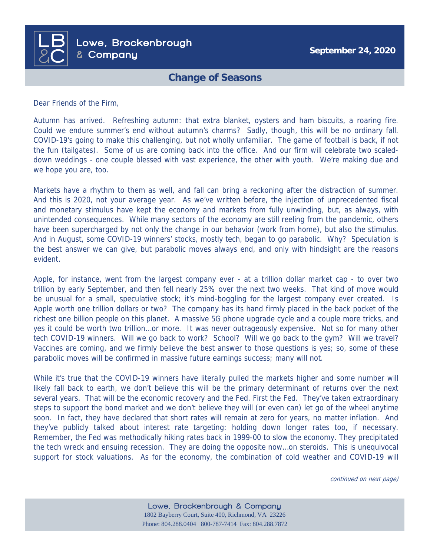

## **Change of Seasons**

Dear Friends of the Firm,

Autumn has arrived. Refreshing autumn: that extra blanket, oysters and ham biscuits, a roaring fire. Could we endure summer's end without autumn's charms? Sadly, though, this will be no ordinary fall. COVID-19's going to make this challenging, but not wholly unfamiliar. The game of football is back, if not the fun (tailgates). Some of us are coming back into the office. And our firm will celebrate two scaleddown weddings - one couple blessed with vast experience, the other with youth. We're making due and we hope you are, too.

Markets have a rhythm to them as well, and fall can bring a reckoning after the distraction of summer. And this is 2020, not your average year. As we've written before, the injection of unprecedented fiscal and monetary stimulus have kept the economy and markets from fully unwinding, but, as always, with unintended consequences. While many sectors of the economy are still reeling from the pandemic, others have been supercharged by not only the change in our behavior (work from home), but also the stimulus. And in August, some COVID-19 winners' stocks, mostly tech, began to go parabolic. Why? Speculation is the best answer we can give, but parabolic moves always end, and only with hindsight are the reasons evident.

Apple, for instance, went from the largest company ever - at a trillion dollar market cap - to over two trillion by early September, and then fell nearly 25% over the next two weeks. That kind of move would be unusual for a small, speculative stock; it's mind-boggling for the largest company ever created. Is Apple worth one trillion dollars or two? The company has its hand firmly placed in the back pocket of the richest one billion people on this planet. A massive 5G phone upgrade cycle and a couple more tricks, and yes it could be worth two trillion…or more. It was never outrageously expensive. Not so for many other tech COVID-19 winners. Will we go back to work? School? Will we go back to the gym? Will we travel? Vaccines are coming, and we firmly believe the best answer to those questions is yes; so, some of these parabolic moves will be confirmed in massive future earnings success; many will not.

While it's true that the COVID-19 winners have literally pulled the markets higher and some number will likely fall back to earth, we don't believe this will be the primary determinant of returns over the next several years. That will be the economic recovery and the Fed. First the Fed. They've taken extraordinary steps to support the bond market and we don't believe they will (or even can) let go of the wheel anytime soon. In fact, they have declared that short rates will remain at zero for years, no matter inflation. And they've publicly talked about interest rate targeting: holding down longer rates too, if necessary. Remember, the Fed was methodically hiking rates back in 1999-00 to slow the economy. They precipitated the tech wreck and ensuing recession. They are doing the opposite now…on steroids. This is unequivocal support for stock valuations. As for the economy, the combination of cold weather and COVID-19 will

continued on next page)